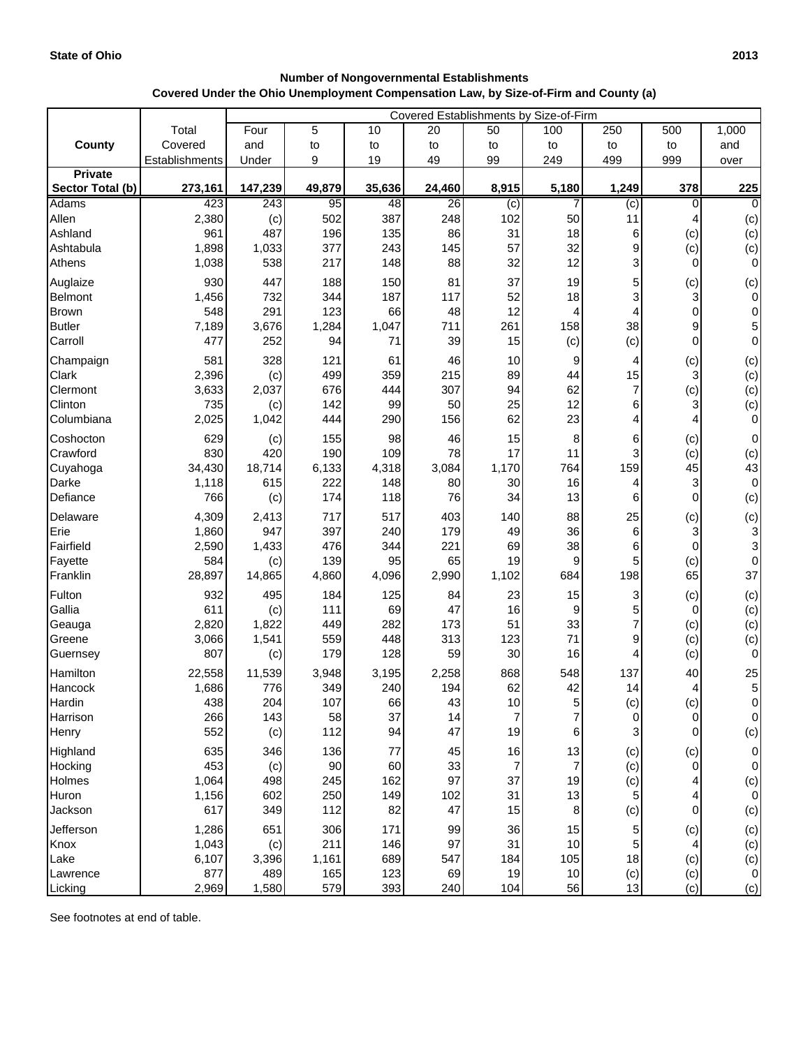## **Number of Nongovernmental Establishments Covered Under the Ohio Unemployment Compensation Law, by Size-of-Firm and County (a)**

|                         |                | Covered Establishments by Size-of-Firm |            |            |           |                |                |                |                       |                                  |  |
|-------------------------|----------------|----------------------------------------|------------|------------|-----------|----------------|----------------|----------------|-----------------------|----------------------------------|--|
|                         | Total          | Four                                   | 5          | 10         | 20        | 50             | 100            | 250            | 500                   | 1,000                            |  |
| County                  | Covered        | and                                    | to         | to         | to        | to             | to             | to             | to                    | and                              |  |
|                         | Establishments | Under                                  | 9          | 19         | 49        | 99             | 249            | 499            | 999                   | over                             |  |
| <b>Private</b>          |                |                                        |            |            |           |                |                |                |                       |                                  |  |
| Sector Total (b)        | 273,161        | 147,239                                | 49,879     | 35,636     | 24,460    | 8,915          | 5,180          | 1,249          | 378                   | 225                              |  |
| Adams                   | 423            | 243                                    | 95         | 48         | 26        | (c)            | 7              | $\overline{c}$ | $\Omega$              | $\Omega$                         |  |
| Allen                   | 2,380          | (c)                                    | 502        | 387        | 248       | 102            | 50             | 11             |                       | (c)                              |  |
| Ashland<br>Ashtabula    | 961<br>1,898   | 487<br>1,033                           | 196<br>377 | 135<br>243 | 86<br>145 | 31<br>57       | 18<br>32       | 6<br>9         | (c)                   | (c)                              |  |
| Athens                  | 1,038          | 538                                    | 217        | 148        | 88        | 32             | 12             | 3              | (c)<br>$\overline{0}$ | (c)<br>$\overline{0}$            |  |
|                         |                |                                        |            |            |           |                |                |                |                       |                                  |  |
| Auglaize                | 930            | 447                                    | 188        | 150        | 81        | 37             | 19             | 5              | (c)                   | (c)                              |  |
| Belmont<br><b>Brown</b> | 1,456<br>548   | 732<br>291                             | 344<br>123 | 187<br>66  | 117<br>48 | 52<br>12       | 18<br>4        | 3<br>4         | 3<br>$\mathbf 0$      | $\overline{0}$<br>$\overline{0}$ |  |
| <b>Butler</b>           | 7,189          | 3,676                                  | 1,284      | 1,047      | 711       | 261            | 158            | 38             | 9                     | 5                                |  |
| Carroll                 | 477            | 252                                    | 94         | 71         | 39        | 15             | (c)            | (c)            | $\Omega$              | $\overline{0}$                   |  |
|                         |                |                                        |            |            |           |                |                |                |                       |                                  |  |
| Champaign<br>Clark      | 581<br>2,396   | 328                                    | 121<br>499 | 61<br>359  | 46<br>215 | 10<br>89       | 9<br>44        | 4<br>15        | (c)<br>3              | (c)                              |  |
| Clermont                | 3,633          | (c)<br>2,037                           | 676        | 444        | 307       | 94             | 62             | 7              | (c)                   | (c)<br>(c)                       |  |
| Clinton                 | 735            | (c)                                    | 142        | 99         | 50        | 25             | 12             | 6              | 3                     | (c)                              |  |
| Columbiana              | 2,025          | 1,042                                  | 444        | 290        | 156       | 62             | 23             | 4              |                       | $\overline{O}$                   |  |
| Coshocton               | 629            |                                        | 155        | 98         | 46        | 15             | 8              | 6              |                       | $\overline{0}$                   |  |
| Crawford                | 830            | (c)<br>420                             | 190        | 109        | 78        | 17             | 11             | 3              | (c)<br>(c)            | (c)                              |  |
| Cuyahoga                | 34,430         | 18,714                                 | 6,133      | 4,318      | 3,084     | 1,170          | 764            | 159            | 45                    | 43                               |  |
| Darke                   | 1,118          | 615                                    | 222        | 148        | 80        | 30             | 16             | 4              | 3                     | $\overline{0}$                   |  |
| Defiance                | 766            | (c)                                    | 174        | 118        | 76        | 34             | 13             | 6              | $\Omega$              | (c)                              |  |
| Delaware                | 4,309          | 2,413                                  | 717        | 517        | 403       | 140            | 88             | 25             | (c)                   | (c)                              |  |
| Erie                    | 1,860          | 947                                    | 397        | 240        | 179       | 49             | 36             | 6              | 3                     | $\overline{3}$                   |  |
| Fairfield               | 2,590          | 1,433                                  | 476        | 344        | 221       | 69             | 38             | 6              | $\Omega$              | $\mathbf{3}$                     |  |
| Fayette                 | 584            | (c)                                    | 139        | 95         | 65        | 19             | 9              | 5              | (c)                   | $\overline{0}$                   |  |
| Franklin                | 28,897         | 14,865                                 | 4,860      | 4,096      | 2,990     | 1,102          | 684            | 198            | 65                    | 37                               |  |
| Fulton                  | 932            | 495                                    | 184        | 125        | 84        | 23             | 15             | 3              | (c)                   | (c)                              |  |
| Gallia                  | 611            | (c)                                    | 111        | 69         | 47        | 16             | 9              |                | 0                     | (c)                              |  |
| Geauga                  | 2,820          | 1,822                                  | 449        | 282        | 173       | 51             | 33             |                | (c)                   | (c)                              |  |
| Greene                  | 3,066          | 1,541                                  | 559        | 448        | 313       | 123            | 71             | 9              | (c)                   | (c)                              |  |
| Guernsey                | 807            | (c)                                    | 179        | 128        | 59        | 30             | 16             | 4              | (c)                   | $\overline{0}$                   |  |
| Hamilton                | 22,558         | 11,539                                 | 3,948      | 3,195      | 2,258     | 868            | 548            | 137            | 40                    | 25                               |  |
| Hancock                 | 1,686          | 776                                    | 349        | 240        | 194       | 62             | 42             | 14             | 4                     | $5\vert$                         |  |
| Hardin                  | 438            | 204                                    | 107        | 66         | 43        | 10             | 5              | (c)            | (c)                   | $\overline{0}$                   |  |
| Harrison                | 266            | 143                                    | 58         | 37         | 14        | $\overline{7}$ | $\overline{7}$ | 0              | $\overline{0}$        | $\overline{0}$                   |  |
| Henry                   | 552            | (c)                                    | 112        | 94         | 47        | 19             | 6              | 3              | $\Omega$              | (c)                              |  |
| Highland                | 635            | 346                                    | 136        | 77         | 45        | 16             | 13             | (c)            | (c)                   | $\overline{0}$                   |  |
| Hocking                 | 453            | (c)                                    | 90         | 60         | 33        | 7              | $\overline{7}$ | (c)            | $\overline{0}$        | $\overline{0}$                   |  |
| Holmes                  | 1,064          | 498                                    | 245        | 162        | 97        | 37             | 19             | (c)            |                       | (c)                              |  |
| Huron                   | 1,156          | 602                                    | 250        | 149        | 102       | 31             | 13             | 5              |                       | $\overline{0}$                   |  |
| Jackson                 | 617            | 349                                    | 112        | 82         | 47        | 15             | 8              | (c)            | $\mathbf 0$           | (c)                              |  |
| Jefferson               | 1,286          | 651                                    | 306        | 171        | 99        | 36             | 15             |                | (c)                   | (c)                              |  |
| Knox                    | 1,043          | (c)                                    | 211        | 146        | 97        | 31             | 10             | 5              |                       | (c)                              |  |
| Lake                    | 6,107          | 3,396                                  | 1,161      | 689        | 547       | 184            | 105            | 18             | (c)                   | (c)                              |  |
| Lawrence                | 877            | 489                                    | 165        | 123        | 69        | 19             | 10             | (c)            | (c)                   | $\overline{0}$                   |  |
| Licking                 | 2,969          | 1,580                                  | 579        | 393        | 240       | 104            | 56             | 13             | (c)                   | (c)                              |  |

See footnotes at end of table.